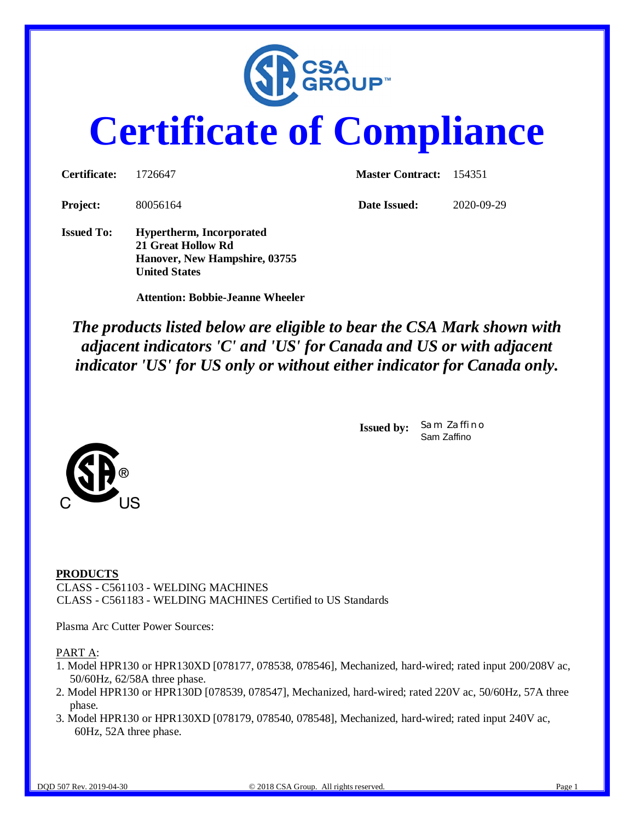

# **Certificate of Compliance**

| Certificate:      | 1726647                                                                                                        | Master Contract: 154351 |            |  |
|-------------------|----------------------------------------------------------------------------------------------------------------|-------------------------|------------|--|
| <b>Project:</b>   | 80056164                                                                                                       | Date Issued:            | 2020-09-29 |  |
| <b>Issued To:</b> | <b>Hypertherm, Incorporated</b><br>21 Great Hollow Rd<br>Hanover, New Hampshire, 03755<br><b>United States</b> |                         |            |  |

 **Attention: Bobbie-Jeanne Wheeler**

*The products listed below are eligible to bear the CSA Mark shown with adjacent indicators 'C' and 'US' for Canada and US or with adjacent indicator 'US' for US only or without either indicator for Canada only.*

> **Issued by:** *Sam Zaffino* Sam Zaffino



Plasma Arc Cutter Power Sources:

PART A:

- 1. Model HPR130 or HPR130XD [078177, 078538, 078546], Mechanized, hard-wired; rated input 200/208V ac, 50/60Hz, 62/58A three phase.
- 2. Model HPR130 or HPR130D [078539, 078547], Mechanized, hard-wired; rated 220V ac, 50/60Hz, 57A three phase.
- 3. Model HPR130 or HPR130XD [078179, 078540, 078548], Mechanized, hard-wired; rated input 240V ac, 60Hz, 52A three phase.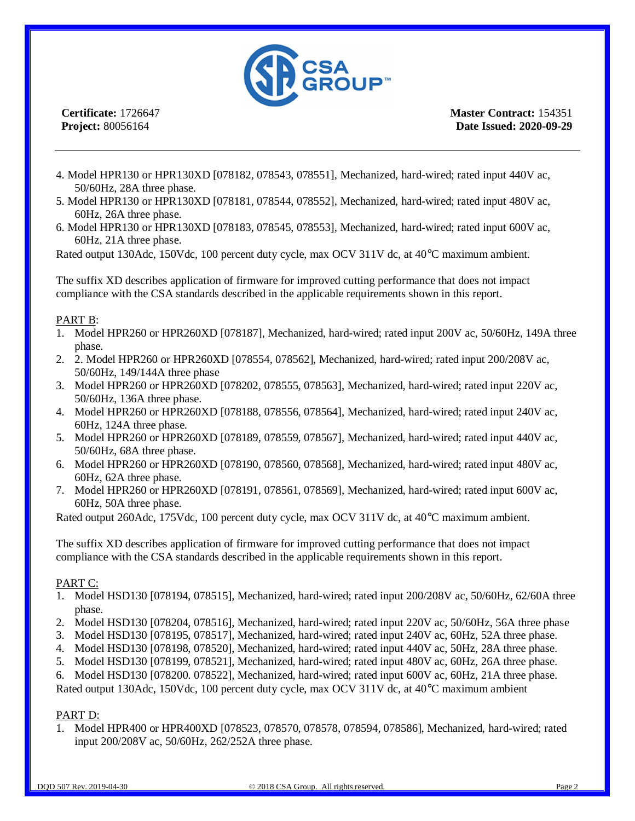

**Master Contract:** 154351 **Date Issued: 2020-09-29**

- 4. Model HPR130 or HPR130XD [078182, 078543, 078551], Mechanized, hard-wired; rated input 440V ac, 50/60Hz, 28A three phase.
- 5. Model HPR130 or HPR130XD [078181, 078544, 078552], Mechanized, hard-wired; rated input 480V ac, 60Hz, 26A three phase.
- 6. Model HPR130 or HPR130XD [078183, 078545, 078553], Mechanized, hard-wired; rated input 600V ac, 60Hz, 21A three phase.

Rated output 130Adc, 150Vdc, 100 percent duty cycle, max OCV 311V dc, at 40°C maximum ambient.

The suffix XD describes application of firmware for improved cutting performance that does not impact compliance with the CSA standards described in the applicable requirements shown in this report.

#### PART B:

- 1. Model HPR260 or HPR260XD [078187], Mechanized, hard-wired; rated input 200V ac, 50/60Hz, 149A three phase.
- 2. 2. Model HPR260 or HPR260XD [078554, 078562], Mechanized, hard-wired; rated input 200/208V ac, 50/60Hz, 149/144A three phase
- 3. Model HPR260 or HPR260XD [078202, 078555, 078563], Mechanized, hard-wired; rated input 220V ac, 50/60Hz, 136A three phase.
- 4. Model HPR260 or HPR260XD [078188, 078556, 078564], Mechanized, hard-wired; rated input 240V ac, 60Hz, 124A three phase.
- 5. Model HPR260 or HPR260XD [078189, 078559, 078567], Mechanized, hard-wired; rated input 440V ac, 50/60Hz, 68A three phase.
- 6. Model HPR260 or HPR260XD [078190, 078560, 078568], Mechanized, hard-wired; rated input 480V ac, 60Hz, 62A three phase.
- 7. Model HPR260 or HPR260XD [078191, 078561, 078569], Mechanized, hard-wired; rated input 600V ac, 60Hz, 50A three phase.

Rated output 260Adc, 175Vdc, 100 percent duty cycle, max OCV 311V dc, at 40°C maximum ambient.

The suffix XD describes application of firmware for improved cutting performance that does not impact compliance with the CSA standards described in the applicable requirements shown in this report.

#### PART C:

- 1. Model HSD130 [078194, 078515], Mechanized, hard-wired; rated input 200/208V ac, 50/60Hz, 62/60A three phase.
- 2. Model HSD130 [078204, 078516], Mechanized, hard-wired; rated input 220V ac, 50/60Hz, 56A three phase
- 3. Model HSD130 [078195, 078517], Mechanized, hard-wired; rated input 240V ac, 60Hz, 52A three phase.
- 4. Model HSD130 [078198, 078520], Mechanized, hard-wired; rated input 440V ac, 50Hz, 28A three phase.
- 5. Model HSD130 [078199, 078521], Mechanized, hard-wired; rated input 480V ac, 60Hz, 26A three phase.
- 6. Model HSD130 [078200. 078522], Mechanized, hard-wired; rated input 600V ac, 60Hz, 21A three phase.

Rated output 130Adc, 150Vdc, 100 percent duty cycle, max OCV 311V dc, at 40°C maximum ambient

#### PART D:

1. Model HPR400 or HPR400XD [078523, 078570, 078578, 078594, 078586], Mechanized, hard-wired; rated input 200/208V ac, 50/60Hz, 262/252A three phase.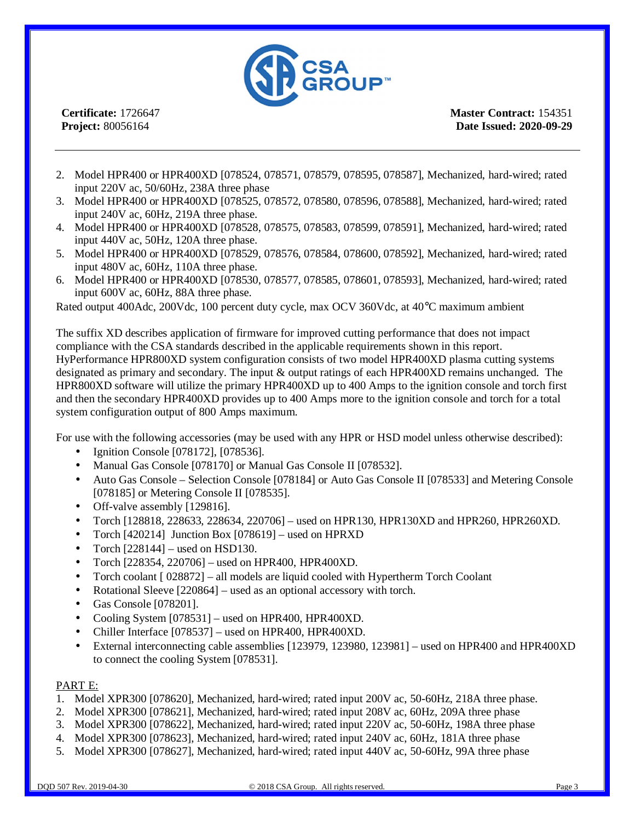

**Master Contract:** 154351 **Date Issued: 2020-09-29**

- 2. Model HPR400 or HPR400XD [078524, 078571, 078579, 078595, 078587], Mechanized, hard-wired; rated input 220V ac, 50/60Hz, 238A three phase
- 3. Model HPR400 or HPR400XD [078525, 078572, 078580, 078596, 078588], Mechanized, hard-wired; rated input 240V ac, 60Hz, 219A three phase.
- 4. Model HPR400 or HPR400XD [078528, 078575, 078583, 078599, 078591], Mechanized, hard-wired; rated input 440V ac, 50Hz, 120A three phase.
- 5. Model HPR400 or HPR400XD [078529, 078576, 078584, 078600, 078592], Mechanized, hard-wired; rated input 480V ac, 60Hz, 110A three phase.
- 6. Model HPR400 or HPR400XD [078530, 078577, 078585, 078601, 078593], Mechanized, hard-wired; rated input 600V ac, 60Hz, 88A three phase.

Rated output 400Adc, 200Vdc, 100 percent duty cycle, max OCV 360Vdc, at 40°C maximum ambient

The suffix XD describes application of firmware for improved cutting performance that does not impact compliance with the CSA standards described in the applicable requirements shown in this report. HyPerformance HPR800XD system configuration consists of two model HPR400XD plasma cutting systems designated as primary and secondary. The input & output ratings of each HPR400XD remains unchanged. The HPR800XD software will utilize the primary HPR400XD up to 400 Amps to the ignition console and torch first and then the secondary HPR400XD provides up to 400 Amps more to the ignition console and torch for a total system configuration output of 800 Amps maximum.

For use with the following accessories (may be used with any HPR or HSD model unless otherwise described):

- Ignition Console [078172], [078536].
- Manual Gas Console [078170] or Manual Gas Console II [078532].  $\mathcal{L}^{\mathcal{L}}$
- Auto Gas Console Selection Console [078184] or Auto Gas Console II [078533] and Metering Console [078185] or Metering Console II [078535].
- Off-valve assembly [129816].
- Torch [128818, 228633, 228634, 220706] used on HPR130, HPR130XD and HPR260, HPR260XD.
- Torch [420214] Junction Box [078619] used on HPRXD
- Torch [228144] used on HSD130.
- Torch [228354, 220706] used on HPR400, HPR400XD.
- Torch coolant [ 028872] all models are liquid cooled with Hypertherm Torch Coolant
- Rotational Sleeve [220864] used as an optional accessory with torch.
- Gas Console [078201].
- Cooling System [078531] used on HPR400, HPR400XD.
- Chiller Interface [078537] used on HPR400, HPR400XD.
- External interconnecting cable assemblies [123979, 123980, 123981] used on HPR400 and HPR400XD to connect the cooling System [078531].

#### PART E:

- 1. Model XPR300 [078620], Mechanized, hard-wired; rated input 200V ac, 50-60Hz, 218A three phase.
- 2. Model XPR300 [078621], Mechanized, hard-wired; rated input 208V ac, 60Hz, 209A three phase
- 3. Model XPR300 [078622], Mechanized, hard-wired; rated input 220V ac, 50-60Hz, 198A three phase
- 4. Model XPR300 [078623], Mechanized, hard-wired; rated input 240V ac, 60Hz, 181A three phase
- 5. Model XPR300 [078627], Mechanized, hard-wired; rated input 440V ac, 50-60Hz, 99A three phase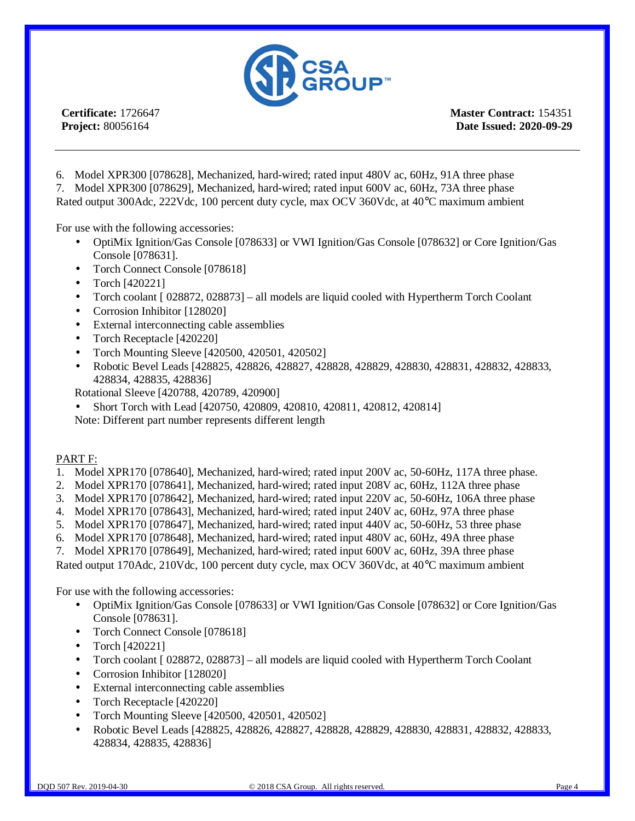

**Master Contract:** 154351 **Date Issued: 2020-09-29**

6. Model XPR300 [078628], Mechanized, hard-wired; rated input 480V ac, 60Hz, 91A three phase 7. Model XPR300 [078629], Mechanized, hard-wired; rated input 600V ac, 60Hz, 73A three phase

Rated output 300Adc, 222Vdc, 100 percent duty cycle, max OCV 360Vdc, at 40°C maximum ambient

For use with the following accessories:

- OptiMix Ignition/Gas Console [078633] or VWI Ignition/Gas Console [078632] or Core Ignition/Gas Console [078631].
- Torch Connect Console [078618]  $\mathcal{L}^{\pm}$
- Torch [420221]
- Torch coolant [ 028872, 028873] all models are liquid cooled with Hypertherm Torch Coolant
- Corrosion Inhibitor [128020]
- External interconnecting cable assemblies  $\mathbf{r}$
- Torch Receptacle [420220]
- Torch Mounting Sleeve [420500, 420501, 420502]
- Robotic Bevel Leads [428825, 428826, 428827, 428828, 428829, 428830, 428831, 428832, 428833, 428834, 428835, 428836]
- Rotational Sleeve [420788, 420789, 420900]
- Short Torch with Lead [420750, 420809, 420810, 420811, 420812, 420814]

Note: Different part number represents different length

#### PART F:

- 1. Model XPR170 [078640], Mechanized, hard-wired; rated input 200V ac, 50-60Hz, 117A three phase.
- 2. Model XPR170 [078641], Mechanized, hard-wired; rated input 208V ac, 60Hz, 112A three phase
- 3. Model XPR170 [078642], Mechanized, hard-wired; rated input 220V ac, 50-60Hz, 106A three phase
- 4. Model XPR170 [078643], Mechanized, hard-wired; rated input 240V ac, 60Hz, 97A three phase
- 5. Model XPR170 [078647], Mechanized, hard-wired; rated input 440V ac, 50-60Hz, 53 three phase
- 6. Model XPR170 [078648], Mechanized, hard-wired; rated input 480V ac, 60Hz, 49A three phase
- 7. Model XPR170 [078649], Mechanized, hard-wired; rated input 600V ac, 60Hz, 39A three phase

Rated output 170Adc, 210Vdc, 100 percent duty cycle, max OCV 360Vdc, at 40°C maximum ambient

For use with the following accessories:

- OptiMix Ignition/Gas Console [078633] or VWI Ignition/Gas Console [078632] or Core Ignition/Gas Console [078631].
- Torch Connect Console [078618]
- Torch [420221]
- Torch coolant [ 028872, 028873] all models are liquid cooled with Hypertherm Torch Coolant
- Corrosion Inhibitor [128020]
- External interconnecting cable assemblies
- Torch Receptacle [420220]
- Torch Mounting Sleeve [420500, 420501, 420502]
- Robotic Bevel Leads [428825, 428826, 428827, 428828, 428829, 428830, 428831, 428832, 428833, 428834, 428835, 428836]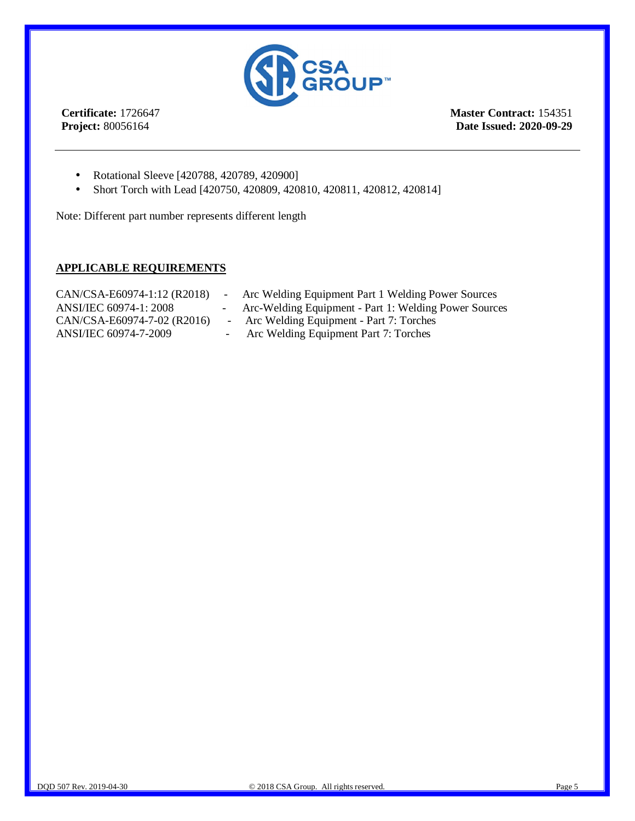

**Master Contract:** 154351 **Date Issued: 2020-09-29**

- Rotational Sleeve [420788, 420789, 420900]  $\mathbf{r}$
- Short Torch with Lead [420750, 420809, 420810, 420811, 420812, 420814] ä,

Note: Different part number represents different length

#### **APPLICABLE REQUIREMENTS**

| CAN/CSA-E60974-1:12 (R2018) | Arc Welding Equipment Part 1 Welding Power Sources    |
|-----------------------------|-------------------------------------------------------|
| ANSI/IEC 60974-1: 2008      | Arc-Welding Equipment - Part 1: Welding Power Sources |
| CAN/CSA-E60974-7-02 (R2016) | - Arc Welding Equipment - Part 7: Torches             |
| ANSI/IEC 60974-7-2009       | Arc Welding Equipment Part 7: Torches                 |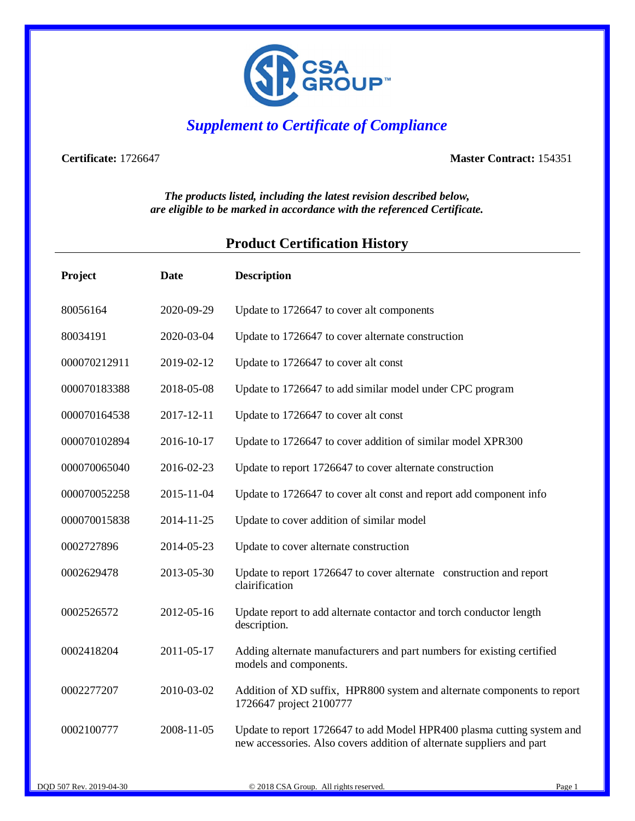

## *Supplement to Certificate of Compliance*

**Certificate:** 1726647 **Master Contract:** 154351

*The products listed, including the latest revision described below, are eligible to be marked in accordance with the referenced Certificate.*

### **Product Certification History**

| Project      | Date       | <b>Description</b>                                                                                                                              |
|--------------|------------|-------------------------------------------------------------------------------------------------------------------------------------------------|
| 80056164     | 2020-09-29 | Update to 1726647 to cover alt components                                                                                                       |
| 80034191     | 2020-03-04 | Update to 1726647 to cover alternate construction                                                                                               |
| 000070212911 | 2019-02-12 | Update to 1726647 to cover alt const                                                                                                            |
| 000070183388 | 2018-05-08 | Update to 1726647 to add similar model under CPC program                                                                                        |
| 000070164538 | 2017-12-11 | Update to 1726647 to cover alt const                                                                                                            |
| 000070102894 | 2016-10-17 | Update to 1726647 to cover addition of similar model XPR300                                                                                     |
| 000070065040 | 2016-02-23 | Update to report 1726647 to cover alternate construction                                                                                        |
| 000070052258 | 2015-11-04 | Update to 1726647 to cover alt const and report add component info                                                                              |
| 000070015838 | 2014-11-25 | Update to cover addition of similar model                                                                                                       |
| 0002727896   | 2014-05-23 | Update to cover alternate construction                                                                                                          |
| 0002629478   | 2013-05-30 | Update to report 1726647 to cover alternate construction and report<br>clairification                                                           |
| 0002526572   | 2012-05-16 | Update report to add alternate contactor and torch conductor length<br>description.                                                             |
| 0002418204   | 2011-05-17 | Adding alternate manufacturers and part numbers for existing certified<br>models and components.                                                |
| 0002277207   | 2010-03-02 | Addition of XD suffix, HPR800 system and alternate components to report<br>1726647 project 2100777                                              |
| 0002100777   | 2008-11-05 | Update to report 1726647 to add Model HPR400 plasma cutting system and<br>new accessories. Also covers addition of alternate suppliers and part |